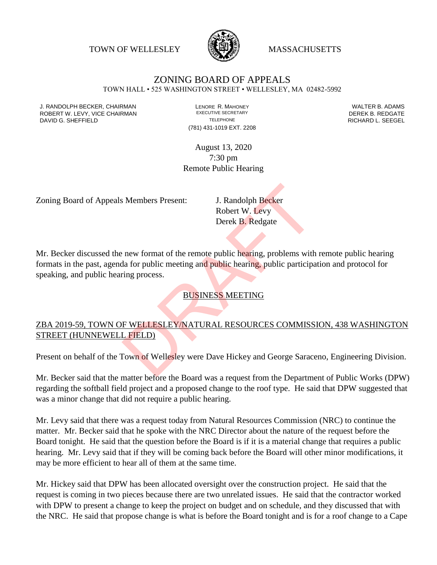TOWN OF WELLESLEY **WELLESLEY** MASSACHUSETTS



# ZONING BOARD OF APPEALS

TOWN HALL • 525 WASHINGTON STREET • WELLESLEY, MA 02482-5992

J. RANDOLPH BECKER, CHAIRMAN LENORE R. MAHONEY LENORE R. MAHONEY LENORE R. ADAMS<br>
ROBERT W. I FVY. VICE CHAIRMAN LEXECUTIVE SECRETARY LET CONTRESS TO THE REDGATE ROBERT W. LEVY, VICE CHAIRMAN EXECUTIVE SECRETARY FOR EXECUTIVE SECRETARY THE SECRETARY DEREK B. REDGATE DAVID G. SHEFFIELD **TELEPHONE** TELEPHONE TELEPHONE TELEPHONE **RICHARD L. SEEGEL** 

(781) 431-1019 EXT. 2208

August 13, 2020 7:30 pm Remote Public Hearing

Zoning Board of Appeals Members Present: J. Randolph Becker

Robert W. Levy Derek B. Redgate

Mr. Becker discussed the new format of the remote public hearing, problems with remote public hearing formats in the past, agenda for public meeting and public hearing, public participation and protocol for speaking, and public hearing process. S Members Present:<br>
J. Randolph Becker<br>
Robert W. Levy<br>
Derek B. Redgate<br>
<br>
Derek B. Redgate<br>
<br>
Levy Derek B. Redgate<br>
<br>
Derek B. Redgate<br>
<br>
Public hearing, problems with<br>
<br>
DUSINESS MEETING<br>
FWELLESLEY/NATURAL RESOURCES C

BUSINESS MEETING

### ZBA 2019-59, TOWN OF WELLESLEY/NATURAL RESOURCES COMMISSION, 438 WASHINGTON STREET (HUNNEWELL FIELD)

Present on behalf of the Town of Wellesley were Dave Hickey and George Saraceno, Engineering Division.

Mr. Becker said that the matter before the Board was a request from the Department of Public Works (DPW) regarding the softball field project and a proposed change to the roof type. He said that DPW suggested that was a minor change that did not require a public hearing.

Mr. Levy said that there was a request today from Natural Resources Commission (NRC) to continue the matter. Mr. Becker said that he spoke with the NRC Director about the nature of the request before the Board tonight. He said that the question before the Board is if it is a material change that requires a public hearing. Mr. Levy said that if they will be coming back before the Board will other minor modifications, it may be more efficient to hear all of them at the same time.

Mr. Hickey said that DPW has been allocated oversight over the construction project. He said that the request is coming in two pieces because there are two unrelated issues. He said that the contractor worked with DPW to present a change to keep the project on budget and on schedule, and they discussed that with the NRC. He said that propose change is what is before the Board tonight and is for a roof change to a Cape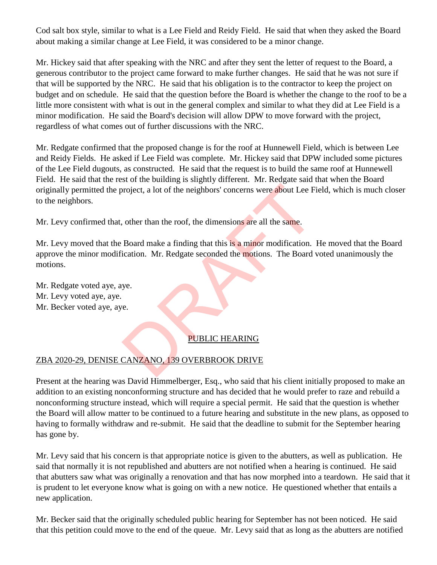Cod salt box style, similar to what is a Lee Field and Reidy Field. He said that when they asked the Board about making a similar change at Lee Field, it was considered to be a minor change.

Mr. Hickey said that after speaking with the NRC and after they sent the letter of request to the Board, a generous contributor to the project came forward to make further changes. He said that he was not sure if that will be supported by the NRC. He said that his obligation is to the contractor to keep the project on budget and on schedule. He said that the question before the Board is whether the change to the roof to be a little more consistent with what is out in the general complex and similar to what they did at Lee Field is a minor modification. He said the Board's decision will allow DPW to move forward with the project, regardless of what comes out of further discussions with the NRC.

Mr. Redgate confirmed that the proposed change is for the roof at Hunnewell Field, which is between Lee and Reidy Fields. He asked if Lee Field was complete. Mr. Hickey said that DPW included some pictures of the Lee Field dugouts, as constructed. He said that the request is to build the same roof at Hunnewell Field. He said that the rest of the building is slightly different. Mr. Redgate said that when the Board originally permitted the project, a lot of the neighbors' concerns were about Lee Field, which is much closer to the neighbors.

Mr. Levy confirmed that, other than the roof, the dimensions are all the same.

Mr. Levy moved that the Board make a finding that this is a minor modification. He moved that the Board approve the minor modification. Mr. Redgate seconded the motions. The Board voted unanimously the motions. project, a lot of the neighbors' concerns were about Lee F<br>
other than the roof, the dimensions are all the same.<br>
Board make a finding that this is a minor modification.<br>
Mr. Redgate seconded the motions. The Board<br>
ye.<br>

Mr. Redgate voted aye, aye. Mr. Levy voted aye, aye. Mr. Becker voted aye, aye.

## PUBLIC HEARING

# ZBA 2020-29, DENISE CANZANO, 139 OVERBROOK DRIVE

Present at the hearing was David Himmelberger, Esq., who said that his client initially proposed to make an addition to an existing nonconforming structure and has decided that he would prefer to raze and rebuild a nonconforming structure instead, which will require a special permit. He said that the question is whether the Board will allow matter to be continued to a future hearing and substitute in the new plans, as opposed to having to formally withdraw and re-submit. He said that the deadline to submit for the September hearing has gone by.

Mr. Levy said that his concern is that appropriate notice is given to the abutters, as well as publication. He said that normally it is not republished and abutters are not notified when a hearing is continued. He said that abutters saw what was originally a renovation and that has now morphed into a teardown. He said that it is prudent to let everyone know what is going on with a new notice. He questioned whether that entails a new application.

Mr. Becker said that the originally scheduled public hearing for September has not been noticed. He said that this petition could move to the end of the queue. Mr. Levy said that as long as the abutters are notified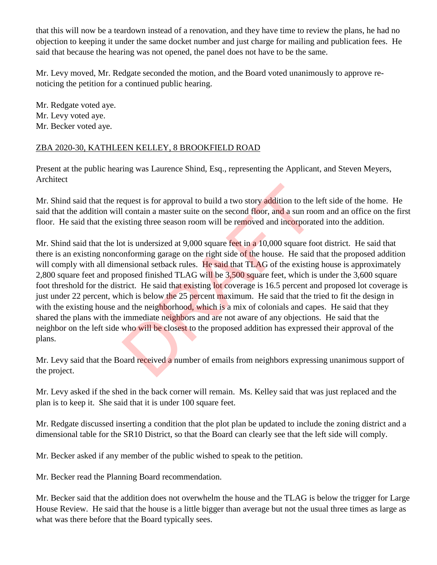that this will now be a teardown instead of a renovation, and they have time to review the plans, he had no objection to keeping it under the same docket number and just charge for mailing and publication fees. He said that because the hearing was not opened, the panel does not have to be the same.

Mr. Levy moved, Mr. Redgate seconded the motion, and the Board voted unanimously to approve renoticing the petition for a continued public hearing.

Mr. Redgate voted aye. Mr. Levy voted aye. Mr. Becker voted aye.

#### ZBA 2020-30, KATHLEEN KELLEY, 8 BROOKFIELD ROAD

Present at the public hearing was Laurence Shind, Esq., representing the Applicant, and Steven Meyers, Architect

Mr. Shind said that the request is for approval to build a two story addition to the left side of the home. He said that the addition will contain a master suite on the second floor, and a sun room and an office on the first floor. He said that the existing three season room will be removed and incorporated into the addition.

Mr. Shind said that the lot is undersized at 9,000 square feet in a 10,000 square foot district. He said that there is an existing nonconforming garage on the right side of the house. He said that the proposed addition will comply with all dimensional setback rules. He said that TLAG of the existing house is approximately 2,800 square feet and proposed finished TLAG will be 3,500 square feet, which is under the 3,600 square foot threshold for the district. He said that existing lot coverage is 16.5 percent and proposed lot coverage is just under 22 percent, which is below the 25 percent maximum. He said that the tried to fit the design in with the existing house and the neighborhood, which is a mix of colonials and capes. He said that they shared the plans with the immediate neighbors and are not aware of any objections. He said that the neighbor on the left side who will be closest to the proposed addition has expressed their approval of the plans. equest is for approval to build a two story addition to the<br>l contain a master suite on the second floor, and a sun rod<br>isting three season room will be removed and incorporat<br>of t is undersized at 9,000 square feet in a 1

Mr. Levy said that the Board received a number of emails from neighbors expressing unanimous support of the project.

Mr. Levy asked if the shed in the back corner will remain. Ms. Kelley said that was just replaced and the plan is to keep it. She said that it is under 100 square feet.

Mr. Redgate discussed inserting a condition that the plot plan be updated to include the zoning district and a dimensional table for the SR10 District, so that the Board can clearly see that the left side will comply.

Mr. Becker asked if any member of the public wished to speak to the petition.

Mr. Becker read the Planning Board recommendation.

Mr. Becker said that the addition does not overwhelm the house and the TLAG is below the trigger for Large House Review. He said that the house is a little bigger than average but not the usual three times as large as what was there before that the Board typically sees.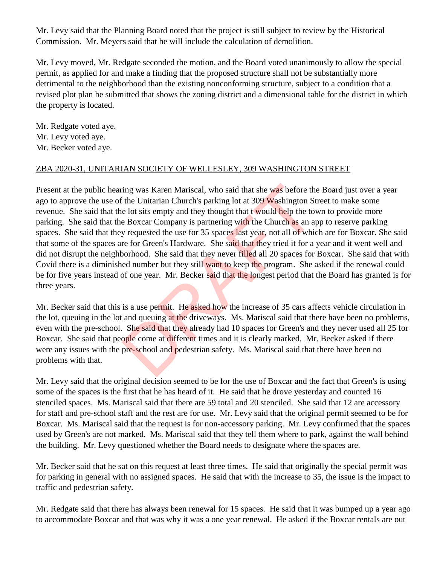Mr. Levy said that the Planning Board noted that the project is still subject to review by the Historical Commission. Mr. Meyers said that he will include the calculation of demolition.

Mr. Levy moved, Mr. Redgate seconded the motion, and the Board voted unanimously to allow the special permit, as applied for and make a finding that the proposed structure shall not be substantially more detrimental to the neighborhood than the existing nonconforming structure, subject to a condition that a revised plot plan be submitted that shows the zoning district and a dimensional table for the district in which the property is located.

Mr. Redgate voted aye. Mr. Levy voted aye. Mr. Becker voted aye.

#### ZBA 2020-31, UNITARIAN SOCIETY OF WELLESLEY, 309 WASHINGTON STREET

Present at the public hearing was Karen Mariscal, who said that she was before the Board just over a year ago to approve the use of the Unitarian Church's parking lot at 309 Washington Street to make some revenue. She said that the lot sits empty and they thought that t would help the town to provide more parking. She said that the Boxcar Company is partnering with the Church as an app to reserve parking spaces. She said that they requested the use for 35 spaces last year, not all of which are for Boxcar. She said that some of the spaces are for Green's Hardware. She said that they tried it for a year and it went well and did not disrupt the neighborhood. She said that they never filled all 20 spaces for Boxcar. She said that with Covid there is a diminished number but they still want to keep the program. She asked if the renewal could be for five years instead of one year. Mr. Becker said that the longest period that the Board has granted is for three years. ing was Karen Mariscal, who said that she was before the Unitarian Church's parking lot at 309 Washington St e lot sits empty and they thought that t would help the to e Boxcar Company is partnering with the Church as an a

Mr. Becker said that this is a use permit. He asked how the increase of 35 cars affects vehicle circulation in the lot, queuing in the lot and queuing at the driveways. Ms. Mariscal said that there have been no problems, even with the pre-school. She said that they already had 10 spaces for Green's and they never used all 25 for Boxcar. She said that people come at different times and it is clearly marked. Mr. Becker asked if there were any issues with the pre-school and pedestrian safety. Ms. Mariscal said that there have been no problems with that.

Mr. Levy said that the original decision seemed to be for the use of Boxcar and the fact that Green's is using some of the spaces is the first that he has heard of it. He said that he drove yesterday and counted 16 stenciled spaces. Ms. Mariscal said that there are 59 total and 20 stenciled. She said that 12 are accessory for staff and pre-school staff and the rest are for use. Mr. Levy said that the original permit seemed to be for Boxcar. Ms. Mariscal said that the request is for non-accessory parking. Mr. Levy confirmed that the spaces used by Green's are not marked. Ms. Mariscal said that they tell them where to park, against the wall behind the building. Mr. Levy questioned whether the Board needs to designate where the spaces are.

Mr. Becker said that he sat on this request at least three times. He said that originally the special permit was for parking in general with no assigned spaces. He said that with the increase to 35, the issue is the impact to traffic and pedestrian safety.

Mr. Redgate said that there has always been renewal for 15 spaces. He said that it was bumped up a year ago to accommodate Boxcar and that was why it was a one year renewal. He asked if the Boxcar rentals are out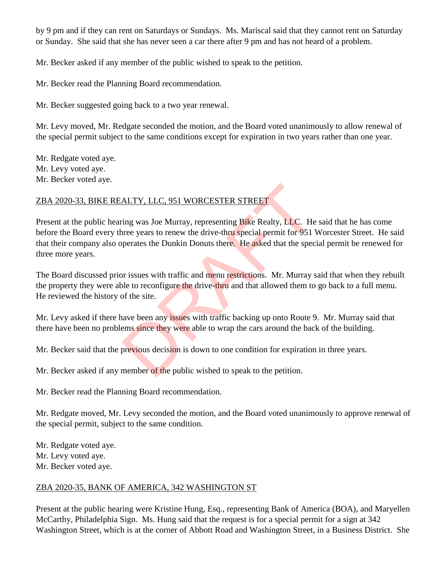by 9 pm and if they can rent on Saturdays or Sundays. Ms. Mariscal said that they cannot rent on Saturday or Sunday. She said that she has never seen a car there after 9 pm and has not heard of a problem.

Mr. Becker asked if any member of the public wished to speak to the petition.

Mr. Becker read the Planning Board recommendation.

Mr. Becker suggested going back to a two year renewal.

Mr. Levy moved, Mr. Redgate seconded the motion, and the Board voted unanimously to allow renewal of the special permit subject to the same conditions except for expiration in two years rather than one year.

Mr. Redgate voted aye. Mr. Levy voted aye. Mr. Becker voted aye.

## ZBA 2020-33, BIKE REALTY, LLC, 951 WORCESTER STREET

Present at the public hearing was Joe Murray, representing Bike Realty, LLC. He said that he has come before the Board every three years to renew the drive-thru special permit for 951 Worcester Street. He said that their company also operates the Dunkin Donuts there. He asked that the special permit be renewed for three more years. ALTY, LLC, 951 WORCESTER STREET<br>
ing was Joe Murray, representing Bike Realty, LLC. He<br>
ince years to renew the drive-thru special permit for 951<br>
iperates the Dunkin Donuts there. He asked that the spec<br>
or issues with tr

The Board discussed prior issues with traffic and menu restrictions. Mr. Murray said that when they rebuilt the property they were able to reconfigure the drive-thru and that allowed them to go back to a full menu. He reviewed the history of the site.

Mr. Levy asked if there have been any issues with traffic backing up onto Route 9. Mr. Murray said that there have been no problems since they were able to wrap the cars around the back of the building.

Mr. Becker said that the previous decision is down to one condition for expiration in three years.

Mr. Becker asked if any member of the public wished to speak to the petition.

Mr. Becker read the Planning Board recommendation.

Mr. Redgate moved, Mr. Levy seconded the motion, and the Board voted unanimously to approve renewal of the special permit, subject to the same condition.

Mr. Redgate voted aye. Mr. Levy voted aye. Mr. Becker voted aye.

## ZBA 2020-35, BANK OF AMERICA, 342 WASHINGTON ST

Present at the public hearing were Kristine Hung, Esq., representing Bank of America (BOA), and Maryellen McCarthy, Philadelphia Sign. Ms. Hung said that the request is for a special permit for a sign at 342 Washington Street, which is at the corner of Abbott Road and Washington Street, in a Business District. She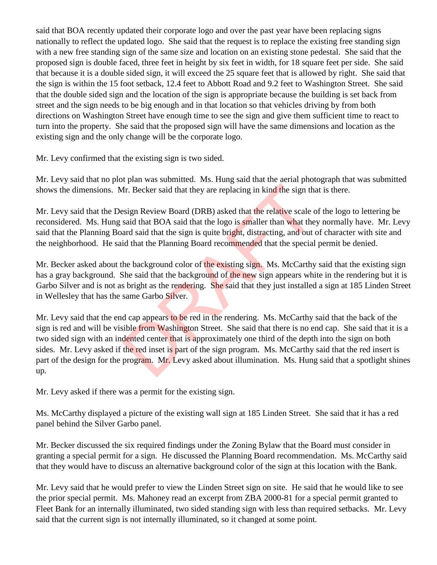said that BOA recently updated their corporate logo and over the past year have been replacing signs nationally to reflect the updated logo. She said that the request is to replace the existing free standing sign with a new free standing sign of the same size and location on an existing stone pedestal. She said that the proposed sign is double faced, three feet in height by six feet in width, for 18 square feet per side. She said that because it is a double sided sign, it will exceed the 25 square feet that is allowed by right. She said that the sign is within the 15 foot setback, 12.4 feet to Abbott Road and 9.2 feet to Washington Street. She said that the double sided sign and the location of the sign is appropriate because the building is set back from street and the sign needs to be big enough and in that location so that vehicles driving by from both directions on Washington Street have enough time to see the sign and give them sufficient time to react to turn into the property. She said that the proposed sign will have the same dimensions and location as the existing sign and the only change will be the corporate logo.

Mr. Levy confirmed that the existing sign is two sided.

Mr. Levy said that no plot plan was submitted. Ms. Hung said that the aerial photograph that was submitted shows the dimensions. Mr. Becker said that they are replacing in kind the sign that is there.

Mr. Levy said that the Design Review Board (DRB) asked that the relative scale of the logo to lettering be reconsidered. Ms. Hung said that BOA said that the logo is smaller than what they normally have. Mr. Levy said that the Planning Board said that the sign is quite bright, distracting, and out of character with site and the neighborhood. He said that the Planning Board recommended that the special permit be denied.

Mr. Becker asked about the background color of the existing sign. Ms. McCarthy said that the existing sign has a gray background. She said that the background of the new sign appears white in the rendering but it is Garbo Silver and is not as bright as the rendering. She said that they just installed a sign at 185 Linden Street in Wellesley that has the same Garbo Silver.

Mr. Levy said that the end cap appears to be red in the rendering. Ms. McCarthy said that the back of the sign is red and will be visible from Washington Street. She said that there is no end cap. She said that it is a two sided sign with an indented center that is approximately one third of the depth into the sign on both sides. Mr. Levy asked if the red inset is part of the sign program. Ms. McCarthy said that the red insert is part of the design for the program. Mr. Levy asked about illumination. Ms. Hung said that a spotlight shines up. Ar. Becker said that they are replacing in kind the sign that<br>esign Review Board (DRB) asked that the relative scale c<br>said that BOA said that the logo is smaller than what the<br>ard said that the sign is quite bright, dist

Mr. Levy asked if there was a permit for the existing sign.

Ms. McCarthy displayed a picture of the existing wall sign at 185 Linden Street. She said that it has a red panel behind the Silver Garbo panel.

Mr. Becker discussed the six required findings under the Zoning Bylaw that the Board must consider in granting a special permit for a sign. He discussed the Planning Board recommendation. Ms. McCarthy said that they would have to discuss an alternative background color of the sign at this location with the Bank.

Mr. Levy said that he would prefer to view the Linden Street sign on site. He said that he would like to see the prior special permit. Ms. Mahoney read an excerpt from ZBA 2000-81 for a special permit granted to Fleet Bank for an internally illuminated, two sided standing sign with less than required setbacks. Mr. Levy said that the current sign is not internally illuminated, so it changed at some point.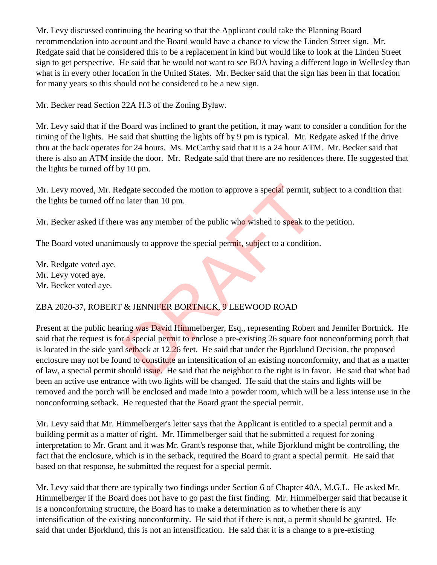Mr. Levy discussed continuing the hearing so that the Applicant could take the Planning Board recommendation into account and the Board would have a chance to view the Linden Street sign. Mr. Redgate said that he considered this to be a replacement in kind but would like to look at the Linden Street sign to get perspective. He said that he would not want to see BOA having a different logo in Wellesley than what is in every other location in the United States. Mr. Becker said that the sign has been in that location for many years so this should not be considered to be a new sign.

Mr. Becker read Section 22A H.3 of the Zoning Bylaw.

Mr. Levy said that if the Board was inclined to grant the petition, it may want to consider a condition for the timing of the lights. He said that shutting the lights off by 9 pm is typical. Mr. Redgate asked if the drive thru at the back operates for 24 hours. Ms. McCarthy said that it is a 24 hour ATM. Mr. Becker said that there is also an ATM inside the door. Mr. Redgate said that there are no residences there. He suggested that the lights be turned off by 10 pm.

Mr. Levy moved, Mr. Redgate seconded the motion to approve a special permit, subject to a condition that the lights be turned off no later than 10 pm.

Mr. Becker asked if there was any member of the public who wished to speak to the petition.

The Board voted unanimously to approve the special permit, subject to a condition.

Mr. Redgate voted aye. Mr. Levy voted aye. Mr. Becker voted aye.

## ZBA 2020-37, ROBERT & JENNIFER BORTNICK, 9 LEEWOOD ROAD

Present at the public hearing was David Himmelberger, Esq., representing Robert and Jennifer Bortnick. He said that the request is for a special permit to enclose a pre-existing 26 square foot nonconforming porch that is located in the side yard setback at 12.26 feet. He said that under the Bjorklund Decision, the proposed enclosure may not be found to constitute an intensification of an existing nonconformity, and that as a matter of law, a special permit should issue. He said that the neighbor to the right is in favor. He said that what had been an active use entrance with two lights will be changed. He said that the stairs and lights will be removed and the porch will be enclosed and made into a powder room, which will be a less intense use in the nonconforming setback. He requested that the Board grant the special permit. dgate seconded the motion to approve a special permit, s<br>
b later than 10 pm.<br>
e was any member of the public who wished to speak to t<br>
ously to approve the special permit, subject to a condition<br>
ously to approve the spec

Mr. Levy said that Mr. Himmelberger's letter says that the Applicant is entitled to a special permit and a building permit as a matter of right. Mr. Himmelberger said that he submitted a request for zoning interpretation to Mr. Grant and it was Mr. Grant's response that, while Bjorklund might be controlling, the fact that the enclosure, which is in the setback, required the Board to grant a special permit. He said that based on that response, he submitted the request for a special permit.

Mr. Levy said that there are typically two findings under Section 6 of Chapter 40A, M.G.L. He asked Mr. Himmelberger if the Board does not have to go past the first finding. Mr. Himmelberger said that because it is a nonconforming structure, the Board has to make a determination as to whether there is any intensification of the existing nonconformity. He said that if there is not, a permit should be granted. He said that under Bjorklund, this is not an intensification. He said that it is a change to a pre-existing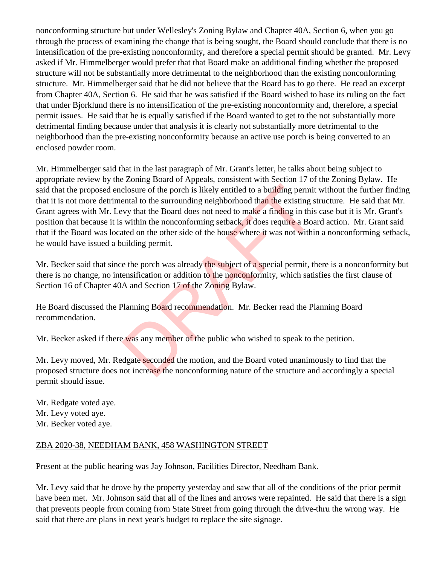nonconforming structure but under Wellesley's Zoning Bylaw and Chapter 40A, Section 6, when you go through the process of examining the change that is being sought, the Board should conclude that there is no intensification of the pre-existing nonconformity, and therefore a special permit should be granted. Mr. Levy asked if Mr. Himmelberger would prefer that that Board make an additional finding whether the proposed structure will not be substantially more detrimental to the neighborhood than the existing nonconforming structure. Mr. Himmelberger said that he did not believe that the Board has to go there. He read an excerpt from Chapter 40A, Section 6. He said that he was satisfied if the Board wished to base its ruling on the fact that under Bjorklund there is no intensification of the pre-existing nonconformity and, therefore, a special permit issues. He said that he is equally satisfied if the Board wanted to get to the not substantially more detrimental finding because under that analysis it is clearly not substantially more detrimental to the neighborhood than the pre-existing nonconformity because an active use porch is being converted to an enclosed powder room.

Mr. Himmelberger said that in the last paragraph of Mr. Grant's letter, he talks about being subject to appropriate review by the Zoning Board of Appeals, consistent with Section 17 of the Zoning Bylaw. He said that the proposed enclosure of the porch is likely entitled to a building permit without the further finding that it is not more detrimental to the surrounding neighborhood than the existing structure. He said that Mr. Grant agrees with Mr. Levy that the Board does not need to make a finding in this case but it is Mr. Grant's position that because it is within the nonconforming setback, it does require a Board action. Mr. Grant said that if the Board was located on the other side of the house where it was not within a nonconforming setback, he would have issued a building permit. closure of the porch is likely entitled to a building permitental to the surrounding neighborhood than the existing s<br>evy that the Board does not need to make a finding in this<br>within the nonconforming setback, it does req

Mr. Becker said that since the porch was already the subject of a special permit, there is a nonconformity but there is no change, no intensification or addition to the nonconformity, which satisfies the first clause of Section 16 of Chapter 40A and Section 17 of the Zoning Bylaw.

He Board discussed the Planning Board recommendation. Mr. Becker read the Planning Board recommendation.

Mr. Becker asked if there was any member of the public who wished to speak to the petition.

Mr. Levy moved, Mr. Redgate seconded the motion, and the Board voted unanimously to find that the proposed structure does not increase the nonconforming nature of the structure and accordingly a special permit should issue.

Mr. Redgate voted aye. Mr. Levy voted aye. Mr. Becker voted aye.

#### ZBA 2020-38, NEEDHAM BANK, 458 WASHINGTON STREET

Present at the public hearing was Jay Johnson, Facilities Director, Needham Bank.

Mr. Levy said that he drove by the property yesterday and saw that all of the conditions of the prior permit have been met. Mr. Johnson said that all of the lines and arrows were repainted. He said that there is a sign that prevents people from coming from State Street from going through the drive-thru the wrong way. He said that there are plans in next year's budget to replace the site signage.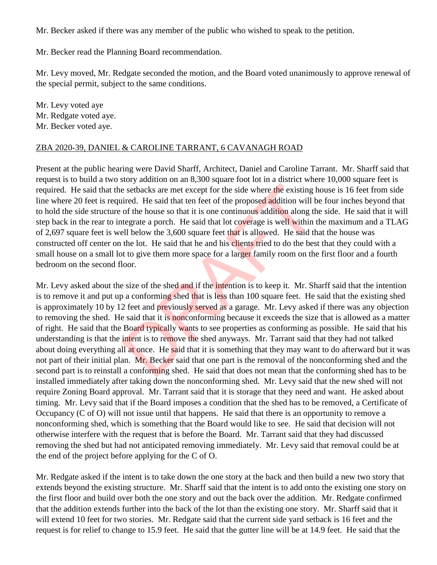Mr. Becker asked if there was any member of the public who wished to speak to the petition.

Mr. Becker read the Planning Board recommendation.

Mr. Levy moved, Mr. Redgate seconded the motion, and the Board voted unanimously to approve renewal of the special permit, subject to the same conditions.

Mr. Levy voted aye Mr. Redgate voted aye. Mr. Becker voted aye.

#### ZBA 2020-39, DANIEL & CAROLINE TARRANT, 6 CAVANAGH ROAD

Present at the public hearing were David Sharff, Architect, Daniel and Caroline Tarrant. Mr. Sharff said that request is to build a two story addition on an 8,300 square foot lot in a district where 10,000 square feet is required. He said that the setbacks are met except for the side where the existing house is 16 feet from side line where 20 feet is required. He said that ten feet of the proposed addition will be four inches beyond that to hold the side structure of the house so that it is one continuous addition along the side. He said that it will step back in the rear to integrate a porch. He said that lot coverage is well within the maximum and a TLAG of 2,697 square feet is well below the 3,600 square feet that is allowed. He said that the house was constructed off center on the lot. He said that he and his clients tried to do the best that they could with a small house on a small lot to give them more space for a larger family room on the first floor and a fourth bedroom on the second floor.

Mr. Levy asked about the size of the shed and if the intention is to keep it. Mr. Sharff said that the intention is to remove it and put up a conforming shed that is less than 100 square feet. He said that the existing shed is approximately 10 by 12 feet and previously served as a garage. Mr. Levy asked if there was any objection to removing the shed. He said that it is nonconforming because it exceeds the size that is allowed as a matter of right. He said that the Board typically wants to see properties as conforming as possible. He said that his understanding is that the intent is to remove the shed anyways. Mr. Tarrant said that they had not talked about doing everything all at once. He said that it is something that they may want to do afterward but it was not part of their initial plan. Mr. Becker said that one part is the removal of the nonconforming shed and the second part is to reinstall a conforming shed. He said that does not mean that the conforming shed has to be installed immediately after taking down the nonconforming shed. Mr. Levy said that the new shed will not require Zoning Board approval. Mr. Tarrant said that it is storage that they need and want. He asked about timing. Mr. Levy said that if the Board imposes a condition that the shed has to be removed, a Certificate of Occupancy (C of O) will not issue until that happens. He said that there is an opportunity to remove a nonconforming shed, which is something that the Board would like to see. He said that decision will not otherwise interfere with the request that is before the Board. Mr. Tarrant said that they had discussed removing the shed but had not anticipated removing immediately. Mr. Levy said that removal could be at the end of the project before applying for the C of O. e setbacks are met except for the side where the existing inited. He said that ten feet of the proposed addition will to f the house so that it is one continuous addition along the tegrate a porch. He said that lot coverag

Mr. Redgate asked if the intent is to take down the one story at the back and then build a new two story that extends beyond the existing structure. Mr. Sharff said that the intent is to add onto the existing one story on the first floor and build over both the one story and out the back over the addition. Mr. Redgate confirmed that the addition extends further into the back of the lot than the existing one story. Mr. Sharff said that it will extend 10 feet for two stories. Mr. Redgate said that the current side yard setback is 16 feet and the request is for relief to change to 15.9 feet. He said that the gutter line will be at 14.9 feet. He said that the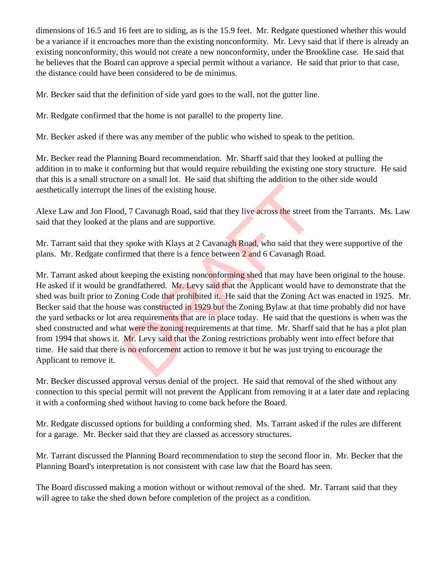dimensions of 16.5 and 16 feet are to siding, as is the 15.9 feet. Mr. Redgate questioned whether this would be a variance if it encroaches more than the existing nonconformity. Mr. Levy said that if there is already an existing nonconformity, this would not create a new nonconformity, under the Brookline case. He said that he believes that the Board can approve a special permit without a variance. He said that prior to that case, the distance could have been considered to be de minimus.

Mr. Becker said that the definition of side yard goes to the wall, not the gutter line.

Mr. Redgate confirmed that the home is not parallel to the property line.

Mr. Becker asked if there was any member of the public who wished to speak to the petition.

Mr. Becker read the Planning Board recommendation. Mr. Sharff said that they looked at pulling the addition in to make it conforming but that would require rebuilding the existing one story structure. He said that this is a small structure on a small lot. He said that shifting the addition to the other side would aesthetically interrupt the lines of the existing house.

Alexe Law and Jon Flood, 7 Cavanagh Road, said that they live across the street from the Tarrants. Ms. Law said that they looked at the plans and are supportive.

Mr. Tarrant said that they spoke with Klays at 2 Cavanagh Road, who said that they were supportive of the plans. Mr. Redgate confirmed that there is a fence between 2 and 6 Cavanagh Road.

Mr. Tarrant asked about keeping the existing nonconforming shed that may have been original to the house. He asked if it would be grandfathered. Mr. Levy said that the Applicant would have to demonstrate that the shed was built prior to Zoning Code that prohibited it. He said that the Zoning Act was enacted in 1925. Mr. Becker said that the house was constructed in 1929 but the Zoning Bylaw at that time probably did not have the yard setbacks or lot area requirements that are in place today. He said that the questions is when was the shed constructed and what were the zoning requirements at that time. Mr. Sharff said that he has a plot plan from 1994 that shows it. Mr. Levy said that the Zoning restrictions probably went into effect before that time. He said that there is no enforcement action to remove it but he was just trying to encourage the Applicant to remove it. Example 1 and are supportive.<br>
1, 7 Cavanagh Road, said that they live across the street f<br>
2. per plans and are supportive.<br>
1. per plans and are supportive.<br>
1. per plans and are supportive.<br>
1. per plans and are support

Mr. Becker discussed approval versus denial of the project. He said that removal of the shed without any connection to this special permit will not prevent the Applicant from removing it at a later date and replacing it with a conforming shed without having to come back before the Board.

Mr. Redgate discussed options for building a conforming shed. Ms. Tarrant asked if the rules are different for a garage. Mr. Becker said that they are classed as accessory structures.

Mr. Tarrant discussed the Planning Board recommendation to step the second floor in. Mr. Becker that the Planning Board's interpretation is not consistent with case law that the Board has seen.

The Board discussed making a motion without or without removal of the shed. Mr. Tarrant said that they will agree to take the shed down before completion of the project as a condition.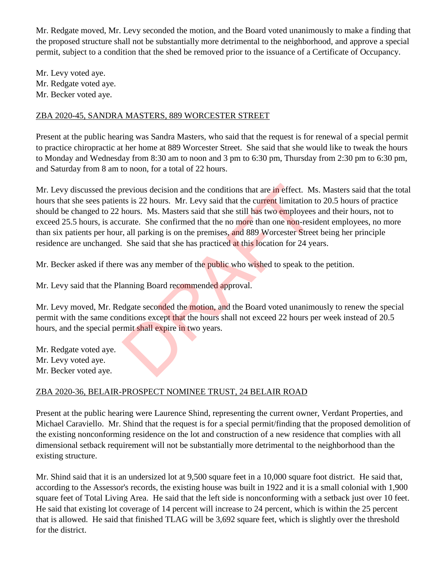Mr. Redgate moved, Mr. Levy seconded the motion, and the Board voted unanimously to make a finding that the proposed structure shall not be substantially more detrimental to the neighborhood, and approve a special permit, subject to a condition that the shed be removed prior to the issuance of a Certificate of Occupancy.

Mr. Levy voted aye. Mr. Redgate voted aye. Mr. Becker voted aye.

#### ZBA 2020-45, SANDRA MASTERS, 889 WORCESTER STREET

Present at the public hearing was Sandra Masters, who said that the request is for renewal of a special permit to practice chiropractic at her home at 889 Worcester Street. She said that she would like to tweak the hours to Monday and Wednesday from 8:30 am to noon and 3 pm to 6:30 pm, Thursday from 2:30 pm to 6:30 pm, and Saturday from 8 am to noon, for a total of 22 hours.

Mr. Levy discussed the previous decision and the conditions that are in effect. Ms. Masters said that the total hours that she sees patients is 22 hours. Mr. Levy said that the current limitation to 20.5 hours of practice should be changed to 22 hours. Ms. Masters said that she still has two employees and their hours, not to exceed 25.5 hours, is accurate. She confirmed that the no more than one non-resident employees, no more than six patients per hour, all parking is on the premises, and 889 Worcester Street being her principle residence are unchanged. She said that she has practiced at this location for 24 years. revious decision and the conditions that are in effect. M:<br>tts is 22 hours. Mr. Levy said that the current limitation thours. Ms. Masters said that she still has two employees<br>urate. She confirmed that the no more than one

Mr. Becker asked if there was any member of the public who wished to speak to the petition.

Mr. Levy said that the Planning Board recommended approval.

Mr. Levy moved, Mr. Redgate seconded the motion, and the Board voted unanimously to renew the special permit with the same conditions except that the hours shall not exceed 22 hours per week instead of 20.5 hours, and the special permit shall expire in two years.

Mr. Redgate voted aye. Mr. Levy voted aye. Mr. Becker voted aye.

## ZBA 2020-36, BELAIR-PROSPECT NOMINEE TRUST, 24 BELAIR ROAD

Present at the public hearing were Laurence Shind, representing the current owner, Verdant Properties, and Michael Caraviello. Mr. Shind that the request is for a special permit/finding that the proposed demolition of the existing nonconforming residence on the lot and construction of a new residence that complies with all dimensional setback requirement will not be substantially more detrimental to the neighborhood than the existing structure.

Mr. Shind said that it is an undersized lot at 9,500 square feet in a 10,000 square foot district. He said that, according to the Assessor's records, the existing house was built in 1922 and it is a small colonial with 1,900 square feet of Total Living Area. He said that the left side is nonconforming with a setback just over 10 feet. He said that existing lot coverage of 14 percent will increase to 24 percent, which is within the 25 percent that is allowed. He said that finished TLAG will be 3,692 square feet, which is slightly over the threshold for the district.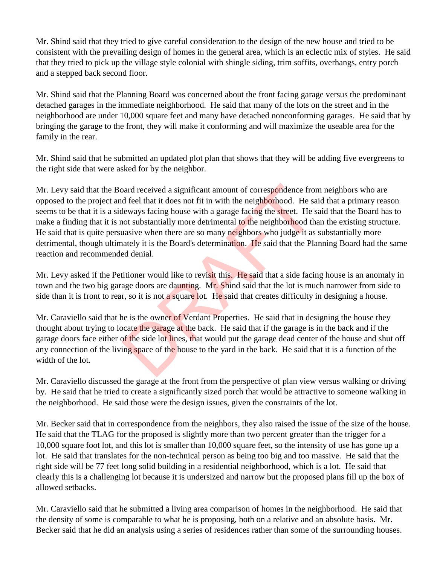Mr. Shind said that they tried to give careful consideration to the design of the new house and tried to be consistent with the prevailing design of homes in the general area, which is an eclectic mix of styles. He said that they tried to pick up the village style colonial with shingle siding, trim soffits, overhangs, entry porch and a stepped back second floor.

Mr. Shind said that the Planning Board was concerned about the front facing garage versus the predominant detached garages in the immediate neighborhood. He said that many of the lots on the street and in the neighborhood are under 10,000 square feet and many have detached nonconforming garages. He said that by bringing the garage to the front, they will make it conforming and will maximize the useable area for the family in the rear.

Mr. Shind said that he submitted an updated plot plan that shows that they will be adding five evergreens to the right side that were asked for by the neighbor.

Mr. Levy said that the Board received a significant amount of correspondence from neighbors who are opposed to the project and feel that it does not fit in with the neighborhood. He said that a primary reason seems to be that it is a sideways facing house with a garage facing the street. He said that the Board has to make a finding that it is not substantially more detrimental to the neighborhood than the existing structure. He said that is quite persuasive when there are so many neighbors who judge it as substantially more detrimental, though ultimately it is the Board's determination. He said that the Planning Board had the same reaction and recommended denial. band received a significant amount of correspondence from d feel that it does not fit in with the neighborhood. He sale<br>ways facing house with a garage facing the street. He sale<br>ways facing house with a garage facing the

Mr. Levy asked if the Petitioner would like to revisit this. He said that a side facing house is an anomaly in town and the two big garage doors are daunting. Mr. Shind said that the lot is much narrower from side to side than it is front to rear, so it is not a square lot. He said that creates difficulty in designing a house.

Mr. Caraviello said that he is the owner of Verdant Properties. He said that in designing the house they thought about trying to locate the garage at the back. He said that if the garage is in the back and if the garage doors face either of the side lot lines, that would put the garage dead center of the house and shut off any connection of the living space of the house to the yard in the back. He said that it is a function of the width of the lot.

Mr. Caraviello discussed the garage at the front from the perspective of plan view versus walking or driving by. He said that he tried to create a significantly sized porch that would be attractive to someone walking in the neighborhood. He said those were the design issues, given the constraints of the lot.

Mr. Becker said that in correspondence from the neighbors, they also raised the issue of the size of the house. He said that the TLAG for the proposed is slightly more than two percent greater than the trigger for a 10,000 square foot lot, and this lot is smaller than 10,000 square feet, so the intensity of use has gone up a lot. He said that translates for the non-technical person as being too big and too massive. He said that the right side will be 77 feet long solid building in a residential neighborhood, which is a lot. He said that clearly this is a challenging lot because it is undersized and narrow but the proposed plans fill up the box of allowed setbacks.

Mr. Caraviello said that he submitted a living area comparison of homes in the neighborhood. He said that the density of some is comparable to what he is proposing, both on a relative and an absolute basis. Mr. Becker said that he did an analysis using a series of residences rather than some of the surrounding houses.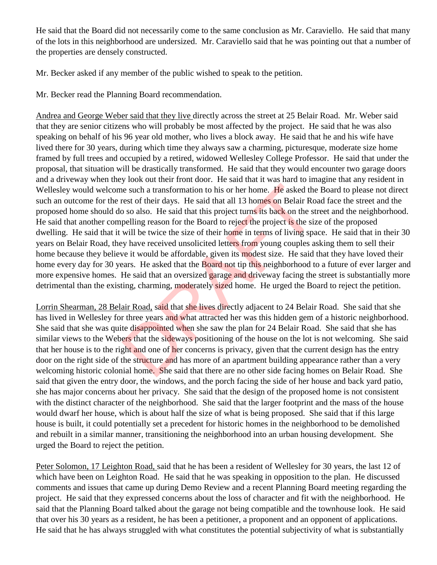He said that the Board did not necessarily come to the same conclusion as Mr. Caraviello. He said that many of the lots in this neighborhood are undersized. Mr. Caraviello said that he was pointing out that a number of the properties are densely constructed.

Mr. Becker asked if any member of the public wished to speak to the petition.

Mr. Becker read the Planning Board recommendation.

Andrea and George Weber said that they live directly across the street at 25 Belair Road. Mr. Weber said that they are senior citizens who will probably be most affected by the project. He said that he was also speaking on behalf of his 96 year old mother, who lives a block away. He said that he and his wife have lived there for 30 years, during which time they always saw a charming, picturesque, moderate size home framed by full trees and occupied by a retired, widowed Wellesley College Professor. He said that under the proposal, that situation will be drastically transformed. He said that they would encounter two garage doors and a driveway when they look out their front door. He said that it was hard to imagine that any resident in Wellesley would welcome such a transformation to his or her home. He asked the Board to please not direct such an outcome for the rest of their days. He said that all 13 homes on Belair Road face the street and the proposed home should do so also. He said that this project turns its back on the street and the neighborhood. He said that another compelling reason for the Board to reject the project is the size of the proposed dwelling. He said that it will be twice the size of their home in terms of living space. He said that in their 30 years on Belair Road, they have received unsolicited letters from young couples asking them to sell their home because they believe it would be affordable, given its modest size. He said that they have loved their home every day for 30 years. He asked that the **Board not tip this neighborhood to a future of ever larger and** more expensive homes. He said that an oversized garage and driveway facing the street is substantially more detrimental than the existing, charming, moderately sized home. He urged the Board to reject the petition. is exact a transformation to his or her home. He asked the rest of their days. He said that all 13 homes on Belair Ro is on also. He said that this project turns its back on the st pelling reason for the Board to reject th

Lorrin Shearman, 28 Belair Road, said that she lives directly adjacent to 24 Belair Road. She said that she has lived in Wellesley for three years and what attracted her was this hidden gem of a historic neighborhood. She said that she was quite disappointed when she saw the plan for 24 Belair Road. She said that she has similar views to the Webers that the sideways positioning of the house on the lot is not welcoming. She said that her house is to the right and one of her concerns is privacy, given that the current design has the entry door on the right side of the structure and has more of an apartment building appearance rather than a very welcoming historic colonial home. She said that there are no other side facing homes on Belair Road. She said that given the entry door, the windows, and the porch facing the side of her house and back yard patio, she has major concerns about her privacy. She said that the design of the proposed home is not consistent with the distinct character of the neighborhood. She said that the larger footprint and the mass of the house would dwarf her house, which is about half the size of what is being proposed. She said that if this large house is built, it could potentially set a precedent for historic homes in the neighborhood to be demolished and rebuilt in a similar manner, transitioning the neighborhood into an urban housing development. She urged the Board to reject the petition.

Peter Solomon, 17 Leighton Road, said that he has been a resident of Wellesley for 30 years, the last 12 of which have been on Leighton Road. He said that he was speaking in opposition to the plan. He discussed comments and issues that came up during Demo Review and a recent Planning Board meeting regarding the project. He said that they expressed concerns about the loss of character and fit with the neighborhood. He said that the Planning Board talked about the garage not being compatible and the townhouse look. He said that over his 30 years as a resident, he has been a petitioner, a proponent and an opponent of applications. He said that he has always struggled with what constitutes the potential subjectivity of what is substantially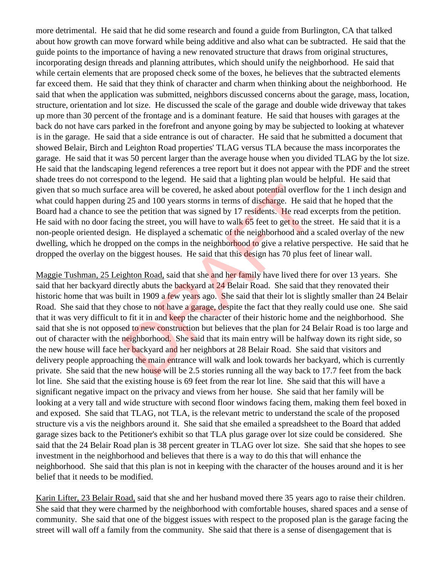more detrimental. He said that he did some research and found a guide from Burlington, CA that talked about how growth can move forward while being additive and also what can be subtracted. He said that the guide points to the importance of having a new renovated structure that draws from original structures, incorporating design threads and planning attributes, which should unify the neighborhood. He said that while certain elements that are proposed check some of the boxes, he believes that the subtracted elements far exceed them. He said that they think of character and charm when thinking about the neighborhood. He said that when the application was submitted, neighbors discussed concerns about the garage, mass, location, structure, orientation and lot size. He discussed the scale of the garage and double wide driveway that takes up more than 30 percent of the frontage and is a dominant feature. He said that houses with garages at the back do not have cars parked in the forefront and anyone going by may be subjected to looking at whatever is in the garage. He said that a side entrance is out of character. He said that he submitted a document that showed Belair, Birch and Leighton Road properties' TLAG versus TLA because the mass incorporates the garage. He said that it was 50 percent larger than the average house when you divided TLAG by the lot size. He said that the landscaping legend references a tree report but it does not appear with the PDF and the street shade trees do not correspond to the legend. He said that a lighting plan would be helpful. He said that given that so much surface area will be covered, he asked about potential overflow for the 1 inch design and what could happen during 25 and 100 years storms in terms of discharge. He said that he hoped that the Board had a chance to see the petition that was signed by 17 residents. He read excerpts from the petition. He said with no door facing the street, you will have to walk 65 feet to get to the street. He said that it is a non-people oriented design. He displayed a schematic of the neighborhood and a scaled overlay of the new dwelling, which he dropped on the comps in the neighborhood to give a relative perspective. He said that he dropped the overlay on the biggest houses. He said that this design has 70 plus feet of linear wall.

Maggie Tushman, 25 Leighton Road, said that she and her family have lived there for over 13 years. She said that her backyard directly abuts the backyard at 24 Belair Road. She said that they renovated their historic home that was built in 1909 a few years ago. She said that their lot is slightly smaller than 24 Belair Road. She said that they chose to not have a garage, despite the fact that they really could use one. She said that it was very difficult to fit it in and keep the character of their historic home and the neighborhood. She said that she is not opposed to new construction but believes that the plan for 24 Belair Road is too large and out of character with the neighborhood. She said that its main entry will be halfway down its right side, so the new house will face her backyard and her neighbors at 28 Belair Road. She said that visitors and delivery people approaching the main entrance will walk and look towards her backyard, which is currently private. She said that the new house will be 2.5 stories running all the way back to 17.7 feet from the back lot line. She said that the existing house is 69 feet from the rear lot line. She said that this will have a significant negative impact on the privacy and views from her house. She said that her family will be looking at a very tall and wide structure with second floor windows facing them, making them feel boxed in and exposed. She said that TLAG, not TLA, is the relevant metric to understand the scale of the proposed structure vis a vis the neighbors around it. She said that she emailed a spreadsheet to the Board that added garage sizes back to the Petitioner's exhibit so that TLA plus garage over lot size could be considered. She said that the 24 Belair Road plan is 38 percent greater in TLAG over lot size. She said that she hopes to see investment in the neighborhood and believes that there is a way to do this that will enhance the neighborhood. She said that this plan is not in keeping with the character of the houses around and it is her belief that it needs to be modified. is a mean will be covered, he asked about potential overflow<br>g 25 and 100 years storms in terms of discharge. He said<br>e the petition that was signed by 17 residents. He read es<br>ing the street, you will have to walk 65 feet

Karin Lifter, 23 Belair Road, said that she and her husband moved there 35 years ago to raise their children. She said that they were charmed by the neighborhood with comfortable houses, shared spaces and a sense of community. She said that one of the biggest issues with respect to the proposed plan is the garage facing the street will wall off a family from the community. She said that there is a sense of disengagement that is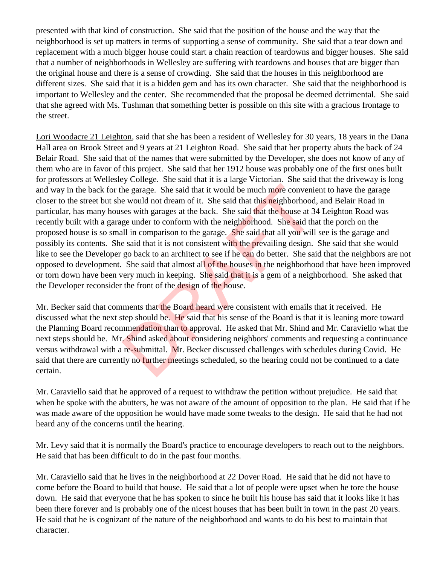presented with that kind of construction. She said that the position of the house and the way that the neighborhood is set up matters in terms of supporting a sense of community. She said that a tear down and replacement with a much bigger house could start a chain reaction of teardowns and bigger houses. She said that a number of neighborhoods in Wellesley are suffering with teardowns and houses that are bigger than the original house and there is a sense of crowding. She said that the houses in this neighborhood are different sizes. She said that it is a hidden gem and has its own character. She said that the neighborhood is important to Wellesley and the center. She recommended that the proposal be deemed detrimental. She said that she agreed with Ms. Tushman that something better is possible on this site with a gracious frontage to the street.

Lori Woodacre 21 Leighton, said that she has been a resident of Wellesley for 30 years, 18 years in the Dana Hall area on Brook Street and 9 years at 21 Leighton Road. She said that her property abuts the back of 24 Belair Road. She said that of the names that were submitted by the Developer, she does not know of any of them who are in favor of this project. She said that her 1912 house was probably one of the first ones built for professors at Wellesley College. She said that it is a large Victorian. She said that the driveway is long and way in the back for the garage. She said that it would be much more convenient to have the garage closer to the street but she would not dream of it. She said that this neighborhood, and Belair Road in particular, has many houses with garages at the back. She said that the house at 34 Leighton Road was recently built with a garage under to conform with the neighborhood. She said that the porch on the proposed house is so small in comparison to the garage. She said that all you will see is the garage and possibly its contents. She said that it is not consistent with the prevailing design. She said that she would like to see the Developer go back to an architect to see if he can do better. She said that the neighbors are not opposed to development. She said that almost all of the houses in the neighborhood that have been improved or torn down have been very much in keeping. She said that it is a gem of a neighborhood. She asked that the Developer reconsider the front of the design of the house. he garage. She said that it would be much more convenies would not dream of it. She said that this neighborhood ses with garages at the back. She said that the house at 3 ge under to conform with the neighborhood. She said

Mr. Becker said that comments that the Board heard were consistent with emails that it received. He discussed what the next step should be. He said that his sense of the Board is that it is leaning more toward the Planning Board recommendation than to approval. He asked that Mr. Shind and Mr. Caraviello what the next steps should be. Mr. Shind asked about considering neighbors' comments and requesting a continuance versus withdrawal with a re-submittal. Mr. Becker discussed challenges with schedules during Covid. He said that there are currently no further meetings scheduled, so the hearing could not be continued to a date certain.

Mr. Caraviello said that he approved of a request to withdraw the petition without prejudice. He said that when he spoke with the abutters, he was not aware of the amount of opposition to the plan. He said that if he was made aware of the opposition he would have made some tweaks to the design. He said that he had not heard any of the concerns until the hearing.

Mr. Levy said that it is normally the Board's practice to encourage developers to reach out to the neighbors. He said that has been difficult to do in the past four months.

Mr. Caraviello said that he lives in the neighborhood at 22 Dover Road. He said that he did not have to come before the Board to build that house. He said that a lot of people were upset when he tore the house down. He said that everyone that he has spoken to since he built his house has said that it looks like it has been there forever and is probably one of the nicest houses that has been built in town in the past 20 years. He said that he is cognizant of the nature of the neighborhood and wants to do his best to maintain that character.